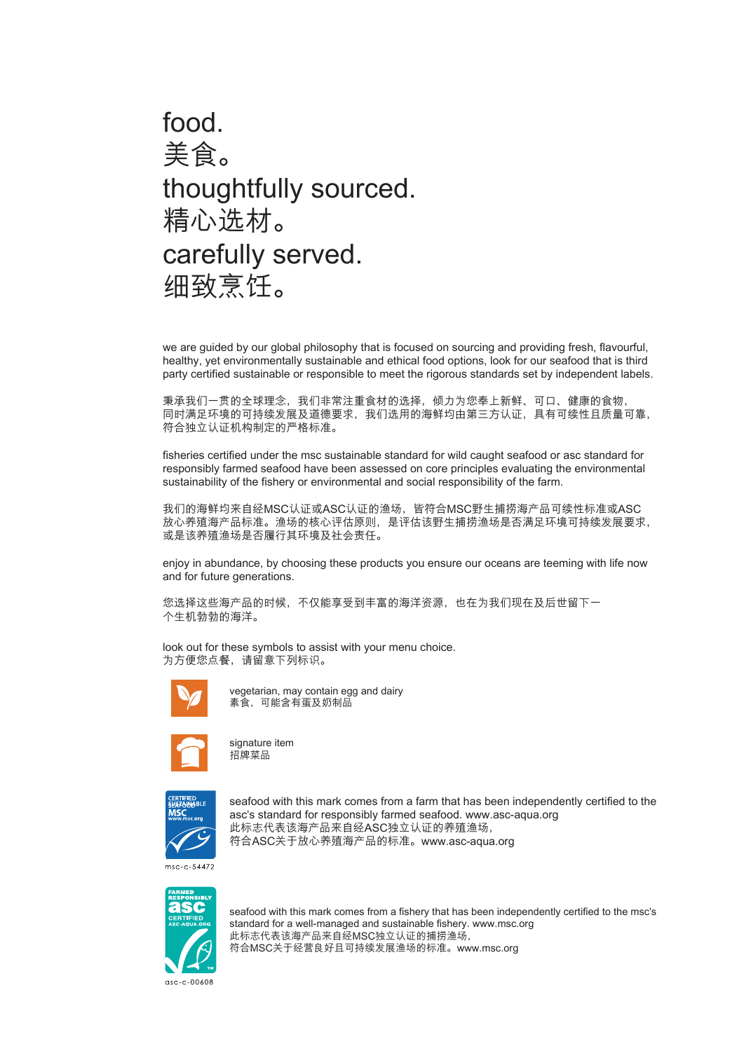# food. 美食。 thoughtfully sourced. 精心选材。 carefully served. 细致烹饪。

we are guided by our global philosophy that is focused on sourcing and providing fresh, flavourful, healthy, yet environmentally sustainable and ethical food options, look for our seafood that is third party certified sustainable or responsible to meet the rigorous standards set by independent labels.

秉承我们一贯的全球理念,我们非常注重食材的选择,倾力为您奉上新鲜、可口、健康的食物, 同时满足环境的可持续发展及道德要求,我们选用的海鲜均由第三方认证,具有可续性且质量可靠, 符合独立认证机构制定的严格标准。

fisheries certified under the msc sustainable standard for wild caught seafood or asc standard for responsibly farmed seafood have been assessed on core principles evaluating the environmental sustainability of the fishery or environmental and social responsibility of the farm.

我们的海鲜均来自经MSC认证或ASC认证的渔场,皆符合MSC野生捕捞海产品可续性标准或ASC 放心养殖海产品标准。渔场的核心评估原则,是评估该野生捕捞渔场是否满足环境可持续发展要求, 或是该养殖渔场是否履行其环境及社会责任。

enjoy in abundance, by choosing these products you ensure our oceans are teeming with life now and for future generations.

您选择这些海产品的时候,不仅能享受到丰富的海洋资源,也在为我们现在及后世留下一 个生机勃勃的海洋。

look out for these symbols to assist with your menu choice. 为方便您点餐,请留意下列标识。



vegetarian, may contain egg and dairy 素食,可能含有蛋及奶制品



signature item 招牌菜品



seafood with this mark comes from a farm that has been independently certified to the asc's standard for responsibly farmed seafood. www.asc-aqua.org 此标志代表该海产品来自经ASC独立认证的养殖渔场, 符合ASC关于放心养殖海产品的标准。www.asc-aqua.org



seafood with this mark comes from a fishery that has been independently certified to the msc's standard for a well-managed and sustainable fishery. www.msc.org 此标志代表该海产品来自经MSC独立认证的捕捞渔场, 符合MSC关于经营良好且可持续发展渔场的标准。www.msc.org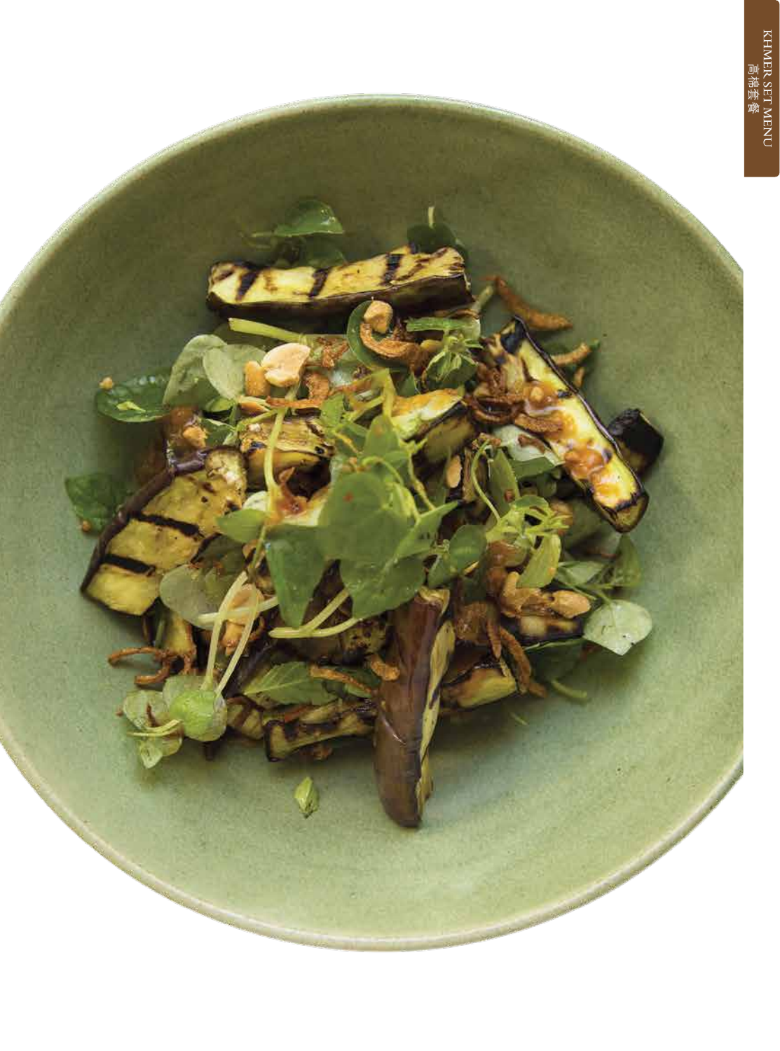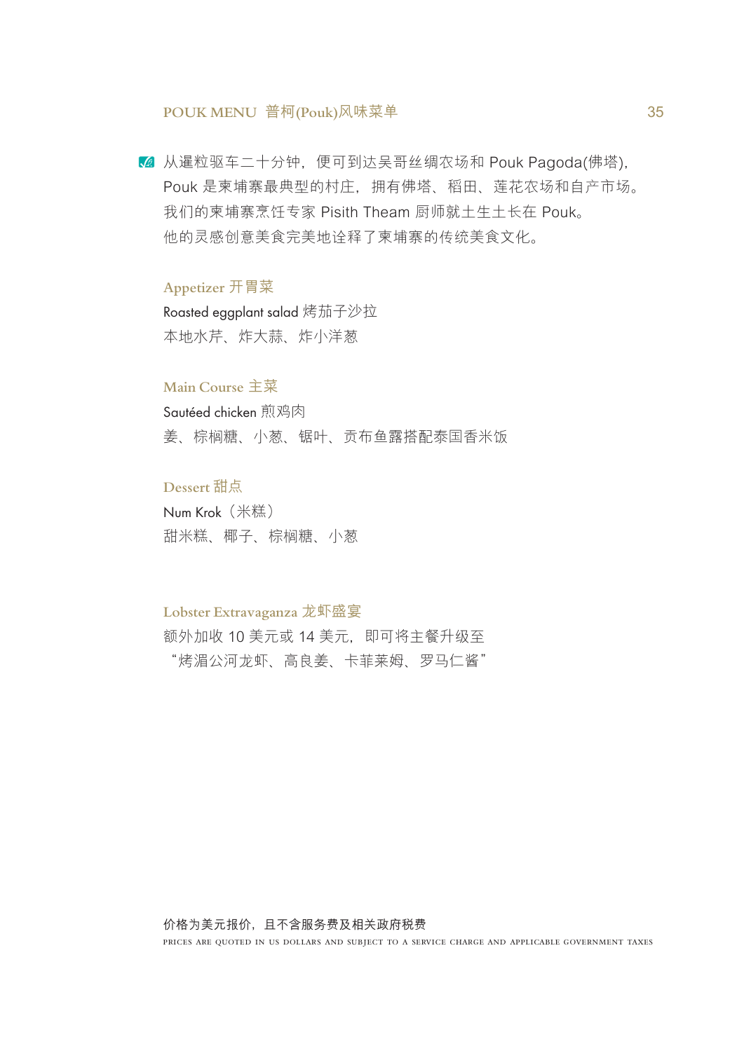#### **POUK MENU** 普柯**(Pouk)**风味菜单 35

从暹粒驱车二十分钟,便可到达吴哥丝绸农场和 Pouk Pagoda(佛塔), Pouk 是柬埔寨最典型的村庄, 拥有佛塔、稻田、莲花农场和自产市场。 我们的柬埔寨烹饪专家 Pisith Theam 厨师就土生土长在 Pouk。 他的灵感创意美食完美地诠释了柬埔寨的传统美食文化。

#### **Appetizer** 开胃菜

Roasted eggplant salad 烤茄子沙拉 本地水芹、炸大蒜、炸小洋葱

### **Main Course** 主菜

Sautéed chicken 煎鸡肉 姜、棕榈糖、小葱、锯叶、贡布鱼露搭配泰国香米饭

# **Dessert** 甜点

Num Krok (米糕) 甜米糕、椰子、棕榈糖、小葱

#### **Lobster Extravaganza** 龙虾盛宴

额外加收 10 美元或 14 美元,即可将主餐升级至 "烤湄公河龙虾、高良姜、卡菲莱姆、罗马仁酱"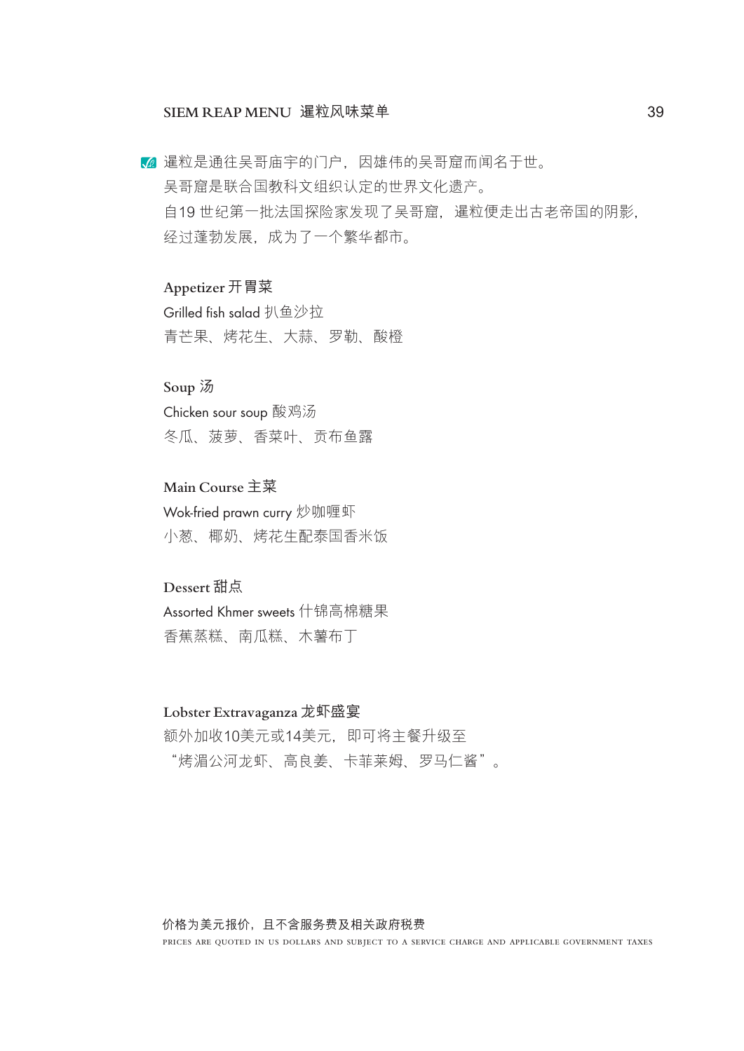#### **SIEM REAP MENU** 暹粒风味菜单 39

暹粒是通往吴哥庙宇的门户,因雄伟的吴哥窟而闻名于世。 吴哥窟是联合国教科文组织认定的世界文化遗产。 自19 世纪第一批法国探险家发现了吴哥窟,暹粒便走出古老帝国的阴影, 经过蓬勃发展,成为了一个繁华都市。

#### **Appetizer** 开胃菜

Grilled fish salad 扒鱼沙拉 青芒果、烤花生、大蒜、罗勒、酸橙

## **Soup** 汤

Chicken sour soup 酸鸡汤 冬瓜、菠萝、香菜叶、贡布鱼露

#### **Main Course** 主菜

Wok-fried prawn curry 炒咖喱虾 小葱、椰奶、烤花生配泰国香米饭

# **Dessert** 甜点

Assorted Khmer sweets 什锦高棉糖果 香蕉蒸糕、南瓜糕、木薯布丁

#### **Lobster Extravaganza** 龙虾盛宴

额外加收10美元或14美元,即可将主餐升级至 "烤湄公河龙虾、高良姜、卡菲莱姆、罗马仁酱"。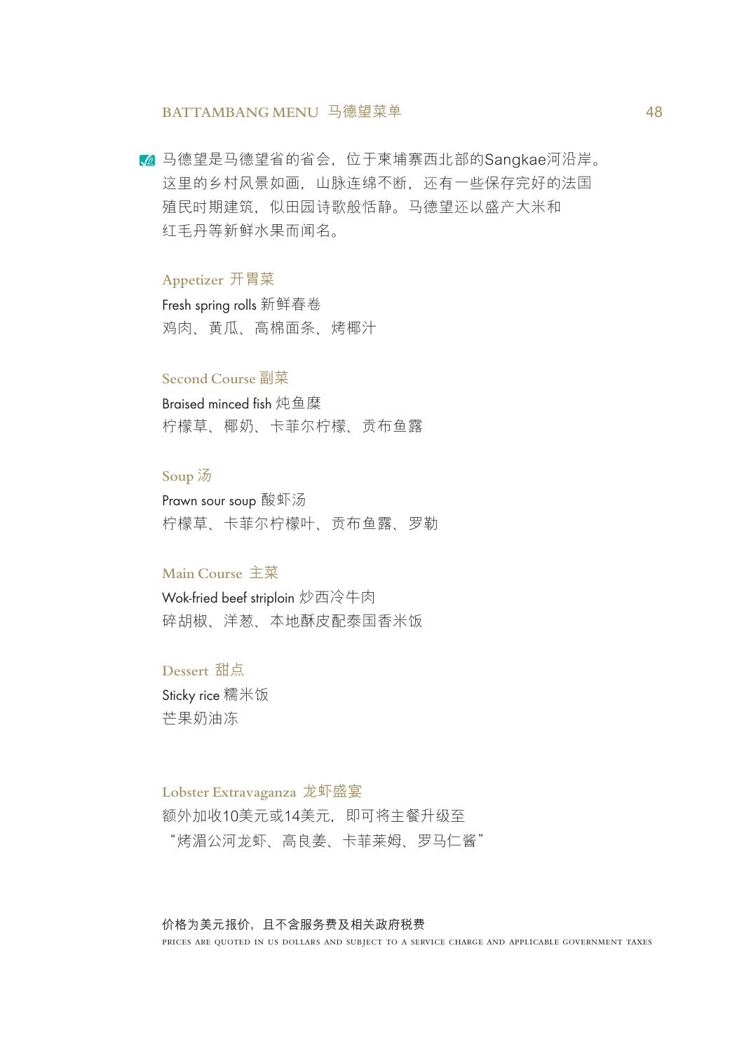#### **BATTAMBANG MENU 马德望菜单 インタン しゅうしょう しゅうしょう**

马德望是马德望省的省会,位于柬埔寨西北部的Sangkae河沿岸。 这里的乡村风景如画,山脉连绵不断,还有一些保存完好的法国 殖民时期建筑,似田园诗歌般恬静。马德望还以盛产大米和 红毛丹等新鲜水果而闻名。

#### **Appetizer** 开胃菜

Fresh spring rolls 新鲜春卷 鸡肉、黄瓜、高棉面条、烤椰汁

## **Second Course** 副菜

Braised minced fish 炖鱼糜 柠檬草、椰奶、卡菲尔柠檬、贡布鱼露

## **Soup** 汤

Prawn sour soup 酸虾汤 柠檬草、卡菲尔柠檬叶、贡布鱼露、罗勒

## **Main Course** 主菜

Wok-fried beef striploin 炒西冷牛肉 碎胡椒、洋葱、本地酥皮配泰国香米饭

## **Dessert** 甜点

Sticky rice 糯米饭 芒果奶油冻

#### **Lobster Extravaganza** 龙虾盛宴

额外加收10美元或14美元,即可将主餐升级至 "烤湄公河龙虾、高良姜、卡菲莱姆、罗马仁酱"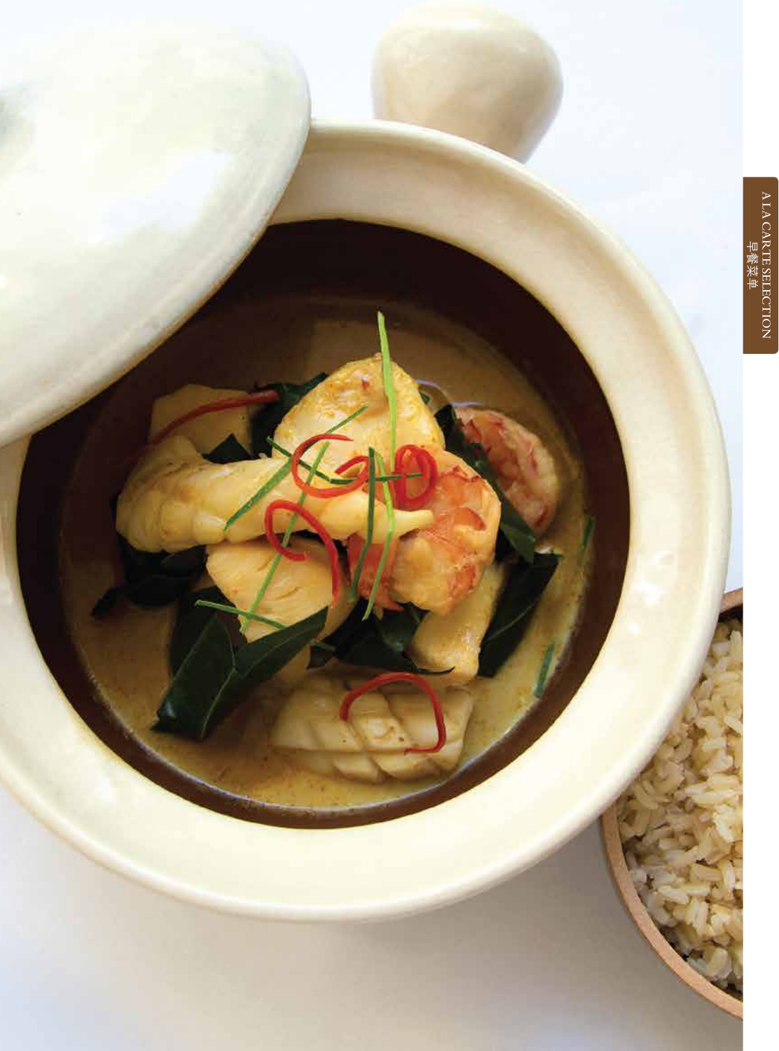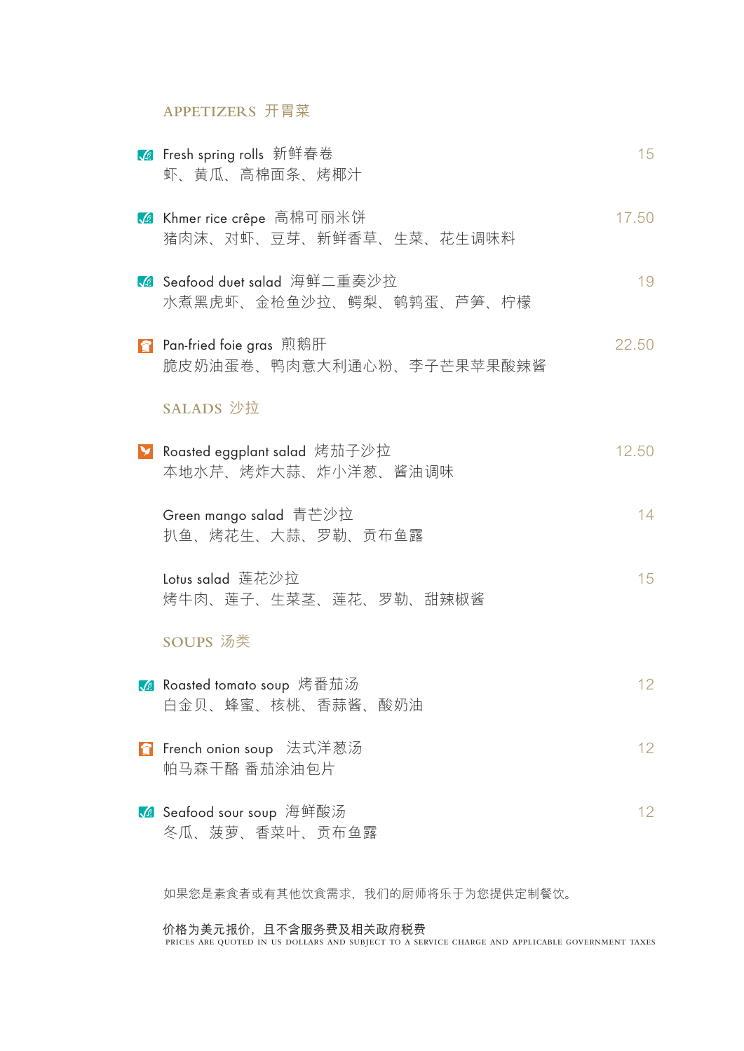# **APPETIZERS** 开胃菜

|              | <mark>√</mark> Fresh spring rolls 新鲜春卷<br>虾、黄瓜、高棉面条、烤椰汁             | 15    |
|--------------|---------------------------------------------------------------------|-------|
|              | √ Khmer rice crêpe 高棉可丽米饼<br>猪肉沫、对虾、豆芽、新鲜香草、生菜、花生调味料                | 17.50 |
|              | M Seafood duet salad 海鲜二重奏沙拉<br>水煮黑虎虾、金枪鱼沙拉、鳄梨、鹌鹑蛋、芦笋、柠檬            | 19    |
|              | <mark>↑</mark> Pan-fried foie gras 煎鹅肝<br>脆皮奶油蛋卷、鸭肉意大利通心粉、李子芒果苹果酸辣酱 | 22.50 |
|              | SALADS 沙拉                                                           |       |
| $\mathbf{V}$ | Roasted eggplant salad 烤茄子沙拉<br>本地水芹、烤炸大蒜、炸小洋葱、酱油调味                 | 12.50 |
|              | Green mango salad 青芒沙拉<br>扒鱼、烤花生、大蒜、罗勒、贡布鱼露                         | 14    |
|              | Lotus salad 莲花沙拉<br>烤牛肉、莲子、生菜茎、莲花、罗勒、甜辣椒酱                           | 15    |
|              | SOUPS 汤类                                                            |       |
|              | <u>A</u> Roasted tomato soup 烤番茄汤<br>白金贝、蜂蜜、核桃、香蒜酱、酸奶油              | 12    |
|              | G French onion soup 法式洋葱汤<br>帕马森干酪 番茄涂油包片                           | 12    |
|              | Me Seafood sour soup 海鲜酸汤<br>冬瓜、菠萝、香菜叶、贡布鱼露                         | 12    |

如果您是素食者或有其他饮食需求,我们的厨师将乐于为您提供定制餐饮。

价格为美元报价,且不含服务费及相关政府税费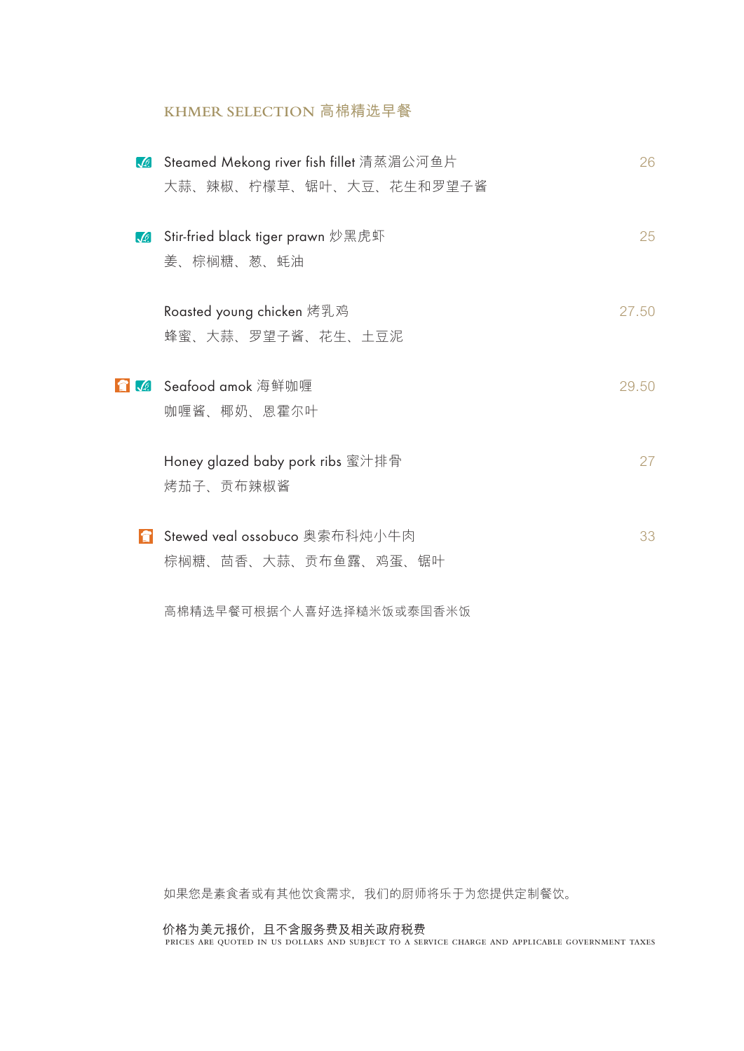## **KHMER SELECTION** 高棉精选早餐

|                 | M Steamed Mekong river fish fillet 清蒸湄公河鱼片       | 26    |
|-----------------|--------------------------------------------------|-------|
|                 | 大蒜、辣椒、柠檬草、锯叶、大豆、花生和罗望子酱                          |       |
| $\sqrt{\theta}$ | Stir-fried black tiger prawn 炒黑虎虾                | 25    |
|                 | 姜、棕榈糖、葱、蚝油                                       |       |
|                 | Roasted young chicken 烤乳鸡                        | 27.50 |
|                 | 蜂蜜、大蒜、罗望子酱、花生、土豆泥<br><b>√4</b> Seafood amok 海鲜咖喱 | 29.50 |
|                 | 咖喱酱、椰奶、恩霍尔叶                                      |       |
|                 | Honey glazed baby pork ribs 蜜汁排骨<br>烤茄子、贡布辣椒酱    | 27    |
|                 |                                                  |       |
|                 | ■ Stewed veal ossobuco 奥索布科炖小牛肉                  | 33    |
|                 | 棕榈糖、茴香、大蒜、贡布鱼露、鸡蛋、锯叶                             |       |

高棉精选早餐可根据个人喜好选择糙米饭或泰国香米饭

如果您是素食者或有其他饮食需求,我们的厨师将乐于为您提供定制餐饮。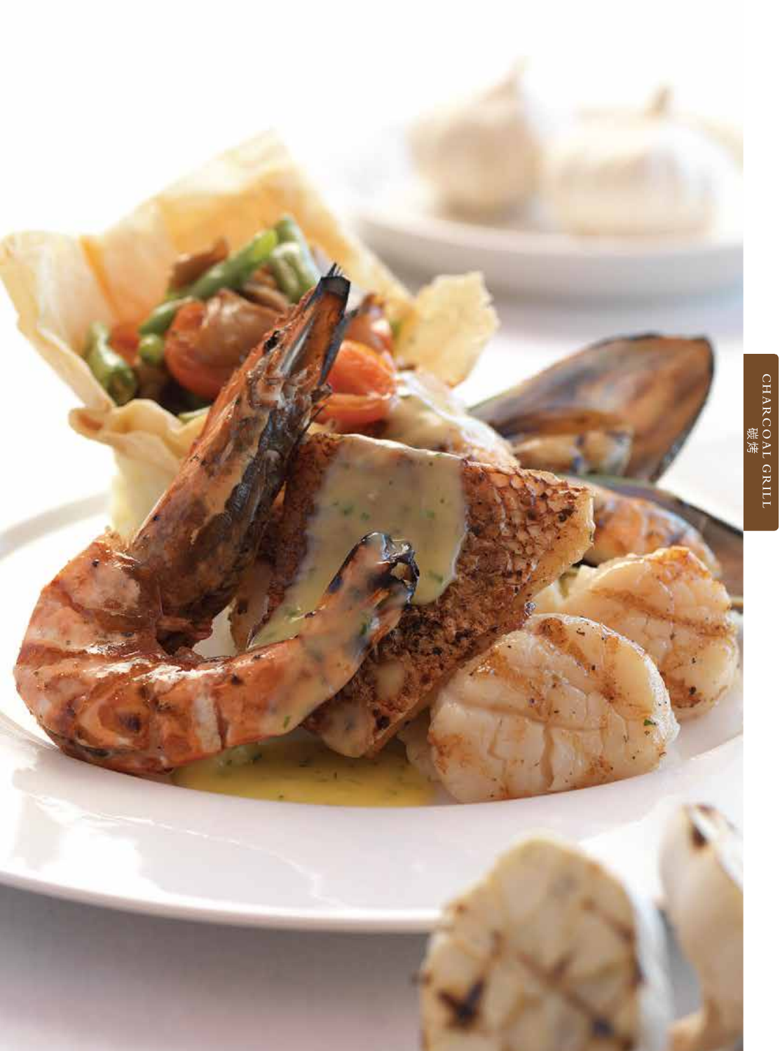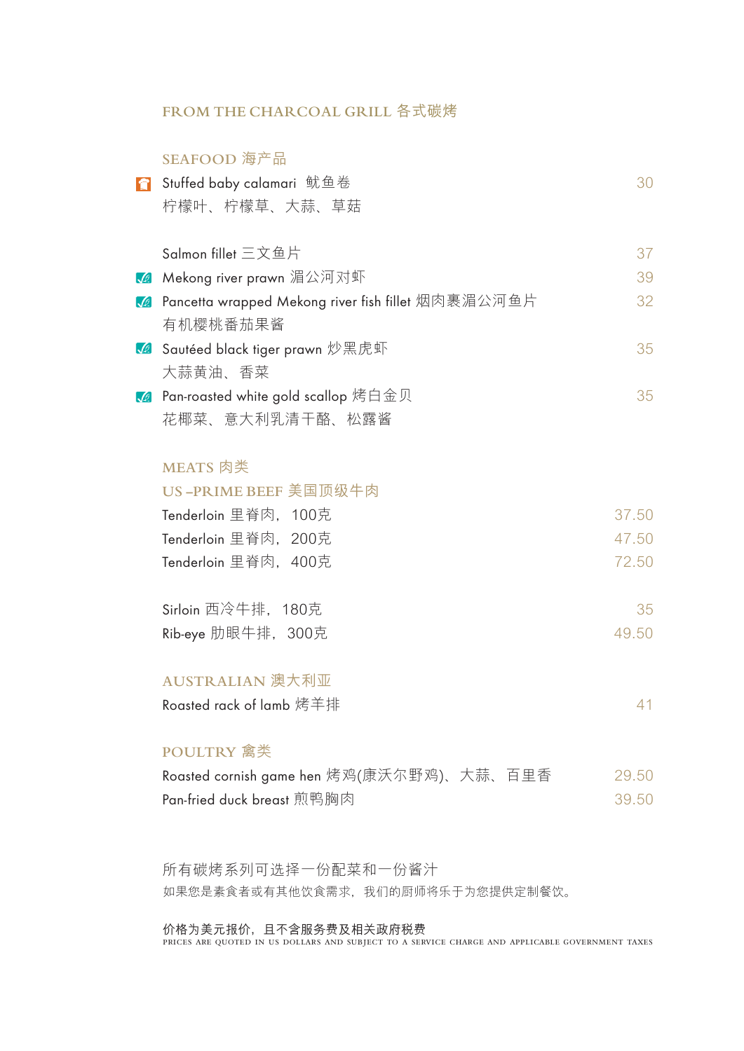## **FROM THE CHARCOAL GRILL** 各式碳烤

### **SEAFOOD** 海产品

|               | Stuffed baby calamari  鱿鱼卷                         | 30    |
|---------------|----------------------------------------------------|-------|
|               | 柠檬叶、柠檬草、大蒜、草菇                                      |       |
|               |                                                    |       |
|               | Salmon fillet 三文鱼片                                 | 37    |
| $\sqrt{\ell}$ | Mekong river prawn 湄公河对虾                           | 39    |
| $\sqrt{\ell}$ | Pancetta wrapped Mekong river fish fillet 烟肉裹湄公河鱼片 | 32    |
|               | 有机樱桃番茄果酱                                           |       |
|               | M Sautéed black tiger prawn 炒黑虎虾                   | 35    |
|               | 大蒜黄油、香菜                                            |       |
|               | Me Pan-roasted white gold scallop 烤白金贝             | 35    |
|               | 花椰菜、意大利乳清干酪、松露酱                                    |       |
|               |                                                    |       |
|               | MEATS 肉类                                           |       |
|               | US –PRIME BEEF 美国顶级牛肉                              |       |
|               | Tenderloin 里脊肉, 100克                               | 37.50 |
|               |                                                    |       |

| Tenderloin 里脊肉,200克 | 47.50 |
|---------------------|-------|
| Tenderloin 里脊肉,400克 | 72.50 |

| Sirloin 西冷牛排, 180克 | 35    |  |
|--------------------|-------|--|
| Rib-eye 肋眼牛排, 300克 | 49.50 |  |

# **AUSTRALIAN** 澳大利亚

| Roasted rack of lamb 烤羊排 |  |  |
|--------------------------|--|--|
|--------------------------|--|--|

### **POULTRY** 禽类

| Roasted cornish game hen 烤鸡(康沃尔野鸡)、大蒜、百里香 |  | 29.50 |  |
|-------------------------------------------|--|-------|--|
| Pan-fried duck breast 煎鸭胸肉                |  | 39.50 |  |

如果您是素食者或有其他饮食需求,我们的厨师将乐于为您提供定制餐饮。 所有碳烤系列可选择一份配菜和一份酱汁

价格为美元报价,且不含服务费及相关政府税费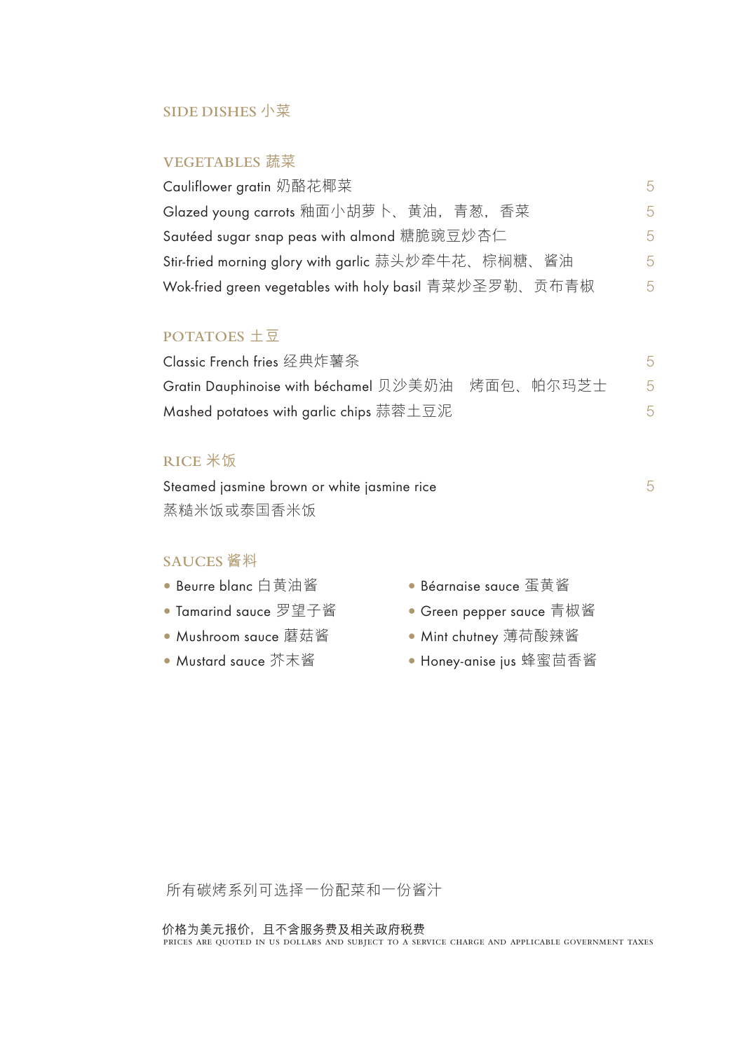## **SIDE DISHES** 小菜

# **VEGETABLES** 蔬菜

| Cauliflower gratin 奶酪花椰菜                               | .5 |
|--------------------------------------------------------|----|
| Glazed young carrots 釉面小胡萝卜、黄油, 青葱, 香菜                 | 5  |
| Sautéed sugar snap peas with almond 糖脆豌豆炒杏仁            | 5  |
| Stir-fried morning glory with garlic 蒜头炒牵牛花、棕榈糖、酱油     | 5  |
| Wok-fried green vegetables with holy basil 青菜炒圣罗勒、贡布青椒 | 5  |
|                                                        |    |

# **POTATOES** 土豆

| Classic French fries 经典炸薯条                       |  |   |
|--------------------------------------------------|--|---|
| Gratin Dauphinoise with béchamel 贝沙美奶油 烤面包、帕尔玛芝士 |  | 5 |
| Mashed potatoes with garlic chips 蒜蓉土豆泥          |  |   |

# **RICE** 米饭

| Steamed jasmine brown or white jasmine rice |  |
|---------------------------------------------|--|
| 蒸糙米饭或泰国香米饭                                  |  |

# **SAUCES** 酱料

| • Beurre blanc 白黄油酱   | • Béarnaise sauce 蛋黄酱    |
|-----------------------|--------------------------|
| • Tamarind sauce 罗望子酱 | ● Green pepper sauce 青椒酱 |
| • Mushroom sauce 蘑菇酱  | • Mint chutney 薄荷酸辣酱     |
| • Mustard sauce 芥末酱   | • Honey-anise jus 蜂蜜茴香酱  |

所有碳烤系列可选择一份配菜和一份酱汁

价格为美元报价,且不含服务费及相关政府税费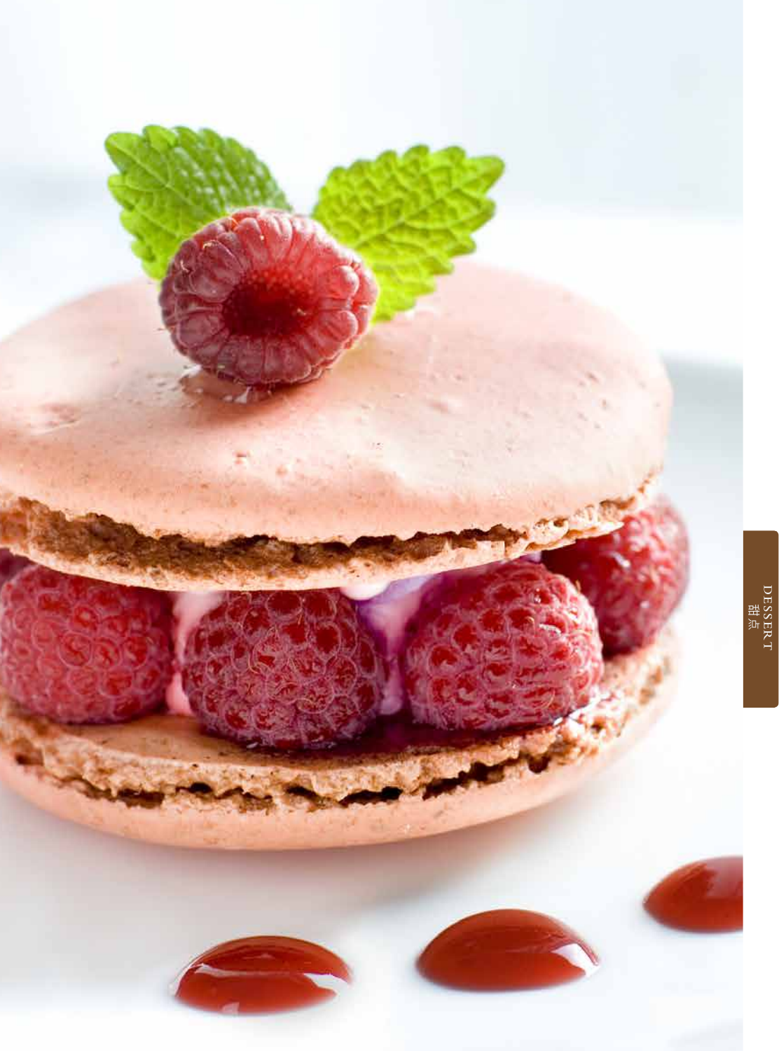